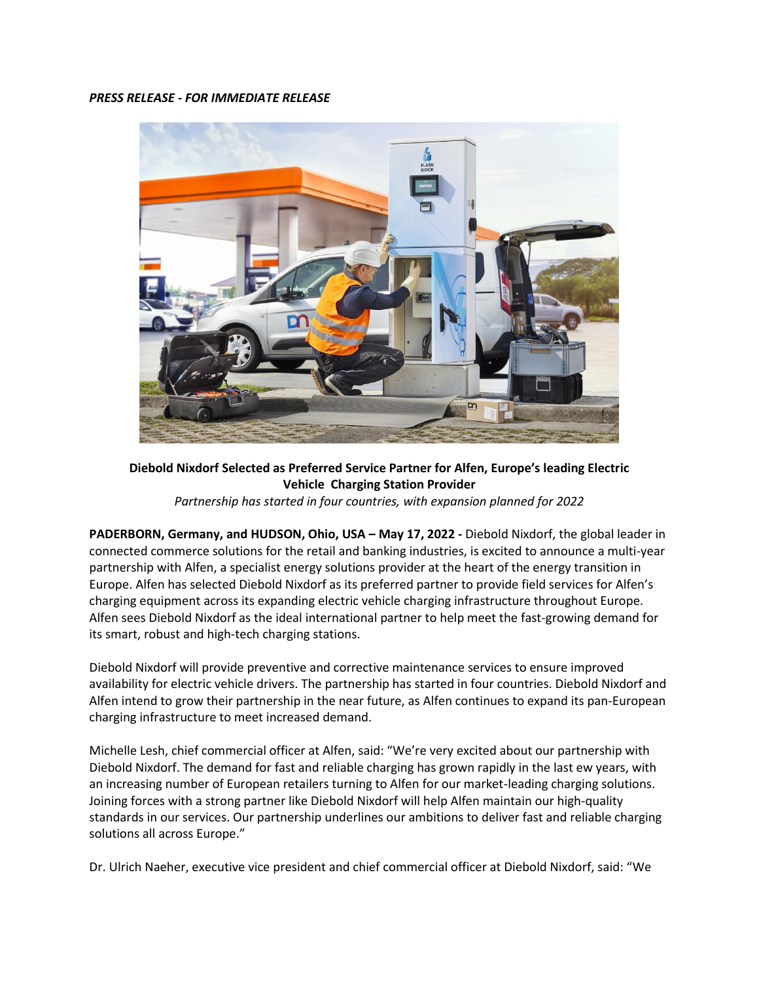## *PRESS RELEASE - FOR IMMEDIATE RELEASE*



**Diebold Nixdorf Selected as Preferred Service Partner for Alfen, Europe's leading Electric Vehicle Charging Station Provider** *Partnership has started in four countries, with expansion planned for 2022*

PADERBORN, Germany, and HUDSON, Ohio, USA - May 17, 2022 - Diebold Nixdorf, the global leader in connected commerce solutions for the retail and banking industries, is excited to announce a multi-year partnership with Alfen, a specialist energy solutions provider at the heart of the energy transition in Europe. Alfen has selected Diebold Nixdorf as its preferred partner to provide field services for Alfen's charging equipment across its expanding electric vehicle charging infrastructure throughout Europe. Alfen sees Diebold Nixdorf as the ideal international partner to help meet the fast-growing demand for its smart, robust and high-tech charging stations.

Diebold Nixdorf will provide preventive and corrective maintenance services to ensure improved availability for electric vehicle drivers. The partnership has started in four countries. Diebold Nixdorf and Alfen intend to grow their partnership in the near future, as Alfen continues to expand its pan-European charging infrastructure to meet increased demand.

Michelle Lesh, chief commercial officer at Alfen, said: "We're very excited about our partnership with Diebold Nixdorf. The demand for fast and reliable charging has grown rapidly in the last ew years, with an increasing number of European retailers turning to Alfen for our market-leading charging solutions. Joining forces with a strong partner like Diebold Nixdorf will help Alfen maintain our high-quality standards in our services. Our partnership underlines our ambitions to deliver fast and reliable charging solutions all across Europe."

Dr. Ulrich Naeher, executive vice president and chief commercial officer at Diebold Nixdorf, said: "We